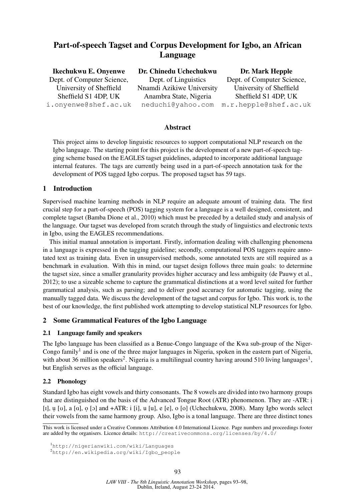## Part-of-speech Tagset and Corpus Development for Igbo, an African Language

| <b>Ikechukwu E. Onyenwe</b> | Dr. Chinedu Uchechukwu    | Dr. Mark Hepple            |
|-----------------------------|---------------------------|----------------------------|
| Dept. of Computer Science,  | Dept. of Linguistics      | Dept. of Computer Science, |
| University of Sheffield     | Nnamdi Azikiwe University | University of Sheffield    |
| Sheffield S1 4DP, UK        | Anambra State, Nigeria    | Sheffield S1 4DP, UK       |
| i.onyenwe@shef.ac.uk        | neduchi@yahoo.com         | m.r.hepple@shef.ac.uk      |
|                             |                           |                            |

## Abstract

This project aims to develop linguistic resources to support computational NLP research on the Igbo language. The starting point for this project is the development of a new part-of-speech tagging scheme based on the EAGLES tagset guidelines, adapted to incorporate additional language internal features. The tags are currently being used in a part-of-speech annotation task for the development of POS tagged Igbo corpus. The proposed tagset has 59 tags.

## 1 Introduction

Supervised machine learning methods in NLP require an adequate amount of training data. The first crucial step for a part-of-speech (POS) tagging system for a language is a well designed, consistent, and complete tagset (Bamba Dione et al., 2010) which must be preceded by a detailed study and analysis of the language. Our tagset was developed from scratch through the study of linguistics and electronic texts in Igbo, using the EAGLES recommendations.

This initial manual annotation is important. Firstly, information dealing with challenging phenomena in a language is expressed in the tagging guideline; secondly, computational POS taggers require annotated text as training data. Even in unsupervised methods, some annotated texts are still required as a benchmark in evaluation. With this in mind, our tagset design follows three main goals: to determine the tagset size, since a smaller granularity provides higher accuracy and less ambiguity (de Pauwy et al., 2012); to use a sizeable scheme to capture the grammatical distinctions at a word level suited for further grammatical analysis, such as parsing; and to deliver good accuracy for automatic tagging, using the manually tagged data. We discuss the development of the tagset and corpus for Igbo. This work is, to the best of our knowledge, the first published work attempting to develop statistical NLP resources for Igbo.

## 2 Some Grammatical Features of the Igbo Language

#### 2.1 Language family and speakers

The Igbo language has been classified as a Benue-Congo language of the Kwa sub-group of the Niger-Congo family<sup>1</sup> and is one of the three major languages in Nigeria, spoken in the eastern part of Nigeria, with about 36 million speakers<sup>2</sup>. Nigeria is a multilingual country having around 510 living languages<sup>1</sup>, but English serves as the official language.

#### 2.2 Phonology

Standard Igbo has eight vowels and thirty consonants. The 8 vowels are divided into two harmony groups that are distinguished on the basis of the Advanced Tongue Root (ATR) phenomenon. They are -ATR: i. [I], u [U], a [a], o [b] and +ATR: i [i], u [u], e [e], o [o] (Uchechukwu, 2008). Many Igbo words select their vowels from the same harmony group. Also, Igbo is a tonal language. There are three distinct tones

This work is licensed under a Creative Commons Attribution 4.0 International Licence. Page numbers and proceedings footer are added by the organisers. Licence details: http://creativecommons.org/licenses/by/4.0/

<sup>1</sup>http://nigerianwiki.com/wiki/Languages

<sup>2</sup>http://en.wikipedia.org/wiki/Igbo\_people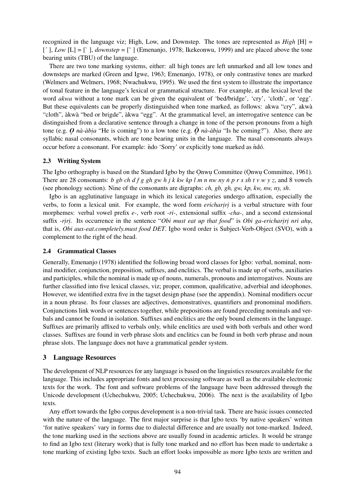recognized in the language viz; High, Low, and Downstep. The tones are represented as *High* [H] =  $[$ ,  $Low$   $[L] = [$   $]$ , *downstep* =  $[$ <sup>-</sup>  $]$  (Emenanjo, 1978; Ikekeonwu, 1999) and are placed above the tone bearing units (TBU) of the language.

There are two tone marking systems, either: all high tones are left unmarked and all low tones and downsteps are marked (Green and Igwe, 1963; Emenanjo, 1978), or only contrastive tones are marked (Welmers and Welmers, 1968; Nwachukwu, 1995). We used the first system to illustrate the importance of tonal feature in the language's lexical or grammatical structure. For example, at the lexical level the word *akwa* without a tone mark can be given the equivalent of 'bed/bridge', 'cry', 'cloth', or 'egg'. But these equivalents can be properly distinguished when tone marked, as follows: akwa "cry", akwà "cloth", àkwà "bed or brigde", àkwa "egg". At the grammatical level, an interrogative sentence can be distinguished from a declarative sentence through a change in tone of the person pronouns from a high tone (e.g.  $Q$  *nà-àbia* "He is coming") to a low tone (e.g.  $\dot{Q}$  *nà-àbia* "Is he coming?"). Also, there are syllabic nasal consonants, which are tone bearing units in the language. The nasal consonants always occur before a consonant. For example: *ndo* 'Sorry' or explicitly tone marked as *ndó*.

#### 2.3 Writing System

The Igbo orthography is based on the Standard Igbo by the Onwu Committee (Onwu Committee, 1961). There are 28 consonants: *b gb ch d f g gh gw h j k kw kp l m n nw ny n p r s sh t v w y z*, and 8 vowels (see phonology section). Nine of the consonants are digraphs: *ch, gb, gh, gw, kp, kw, nw, ny, sh*.

Igbo is an agglutinative language in which its lexical categories undergo affixation, especially the verbs, to form a lexical unit. For example, the word form *erichariri* is a verbal structure with four morphemes: verbal vowel prefix *e-*, verb root *-ri-*, extensional suffix *-cha-*, and a second extensional suffix *-riri*. Its occurrence in the sentence "*Obi must eat up that food*" is *Obi ga-erichariri nri ahu*, that is, *Obi aux-eat.completely.must food DET*. Igbo word order is Subject-Verb-Object (SVO), with a complement to the right of the head.

#### 2.4 Grammatical Classes

Generally, Emenanjo (1978) identified the following broad word classes for Igbo: verbal, nominal, nominal modifier, conjunction, preposition, suffixes, and enclitics. The verbal is made up of verbs, auxiliaries and participles, while the nominal is made up of nouns, numerals, pronouns and interrogatives. Nouns are further classified into five lexical classes, viz; proper, common, qualificative, adverbial and ideophones. However, we identified extra five in the tagset design phase (see the appendix). Nominal modifiers occur in a noun phrase. Its four classes are adjectives, demonstratives, quantifiers and pronominal modifiers. Conjunctions link words or sentences together, while prepositions are found preceding nominals and verbals and cannot be found in isolation. Suffixes and enclitics are the only bound elements in the language. Suffixes are primarily affixed to verbals only, while enclitics are used with both verbals and other word classes. Suffixes are found in verb phrase slots and enclitics can be found in both verb phrase and noun phrase slots. The language does not have a grammatical gender system.

## 3 Language Resources

The development of NLP resources for any language is based on the linguistics resources available for the language. This includes appropriate fonts and text processing software as well as the available electronic texts for the work. The font and software problems of the language have been addressed through the Unicode development (Uchechukwu, 2005; Uchechukwu, 2006). The next is the availability of Igbo texts.

Any effort towards the Igbo corpus development is a non-trivial task. There are basic issues connected with the nature of the language. The first major surprise is that Igbo texts 'by native speakers' written 'for native speakers' vary in forms due to dialectal difference and are usually not tone-marked. Indeed, the tone marking used in the sections above are usually found in academic articles. It would be strange to find an Igbo text (literary work) that is fully tone marked and no effort has been made to undertake a tone marking of existing Igbo texts. Such an effort looks impossible as more Igbo texts are written and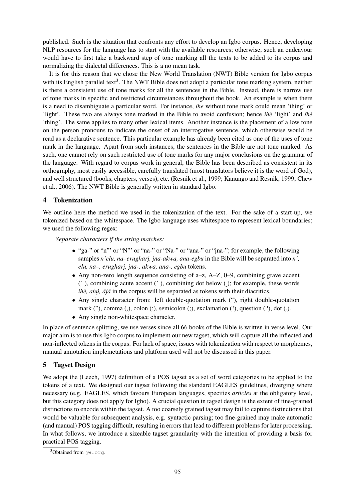published. Such is the situation that confronts any effort to develop an Igbo corpus. Hence, developing NLP resources for the language has to start with the available resources; otherwise, such an endeavour would have to first take a backward step of tone marking all the texts to be added to its corpus and normalizing the dialectal differences. This is a no mean task.

It is for this reason that we chose the New World Translation (NWT) Bible version for Igbo corpus with its English parallel text<sup>3</sup>. The NWT Bible does not adopt a particular tone marking system, neither is there a consistent use of tone marks for all the sentences in the Bible. Instead, there is narrow use of tone marks in specific and restricted circumstances throughout the book. An example is when there is a need to disambiguate a particular word. For instance, *ihe* without tone mark could mean 'thing' or 'light'. These two are always tone marked in the Bible to avoid confusion; hence *ìhè* 'light' and *íhé* 'thing'. The same applies to many other lexical items. Another instance is the placement of a low tone on the person pronouns to indicate the onset of an interrogative sentence, which otherwise would be read as a declarative sentence. This particular example has already been cited as one of the uses of tone mark in the language. Apart from such instances, the sentences in the Bible are not tone marked. As such, one cannot rely on such restricted use of tone marks for any major conclusions on the grammar of the language. With regard to corpus work in general, the Bible has been described as consistent in its orthography, most easily accessible, carefully translated (most translators believe it is the word of God), and well structured (books, chapters, verses), etc. (Resnik et al., 1999; Kanungo and Resnik, 1999; Chew et al., 2006). The NWT Bible is generally written in standard Igbo.

## 4 Tokenization

We outline here the method we used in the tokenization of the text. For the sake of a start-up, we tokenized based on the whitespace. The Igbo language uses whitespace to represent lexical boundaries; we used the following regex:

*Separate characters if the string matches:*

- "ga-" or "n"' or "N"' or "na-" or "Na-" or "ana-" or "ina-"; for example, the following samples *n'elu, na–erughari . , i .na-akwa, ana-egbu* in the Bible will be separated into *n', elu, na–, erughari, ina-, akwa, ana-, egbu* tokens.
- Any non-zero length sequence consisting of a–z, A–Z, 0–9, combining grave accent (` ), combining acute accent (´ ), combining dot below (. ); for example, these words *ìhè, ahú, ájá* in the corpus will be separated as tokens with their diacritics.
- Any single character from: left double-quotation mark ("), right double-quotation mark ("), comma (,), colon (:), semicolon (;), exclamation (!), question (?), dot (.).
- Any single non-whitespace character.

In place of sentence splitting, we use verses since all 66 books of the Bible is written in verse level. Our major aim is to use this Igbo corpus to implement our new tagset, which will capture all the inflected and non-inflected tokens in the corpus. For lack of space, issues with tokenization with respect to morphemes, manual annotation implemetations and platform used will not be discussed in this paper.

## 5 Tagset Design

We adopt the (Leech, 1997) definition of a POS tagset as a set of word categories to be applied to the tokens of a text. We designed our tagset following the standard EAGLES guidelines, diverging where necessary (e.g. EAGLES, which favours European languages, specifies *articles* at the obligatory level, but this category does not apply for Igbo). A crucial question in tagset design is the extent of fine-grained distinctions to encode within the tagset. A too coarsely grained tagset may fail to capture distinctions that would be valuable for subsequent analysis, e.g. syntactic parsing; too fine-grained may make automatic (and manual) POS tagging difficult, resulting in errors that lead to different problems for later processing. In what follows, we introduce a sizeable tagset granularity with the intention of providing a basis for practical POS tagging.

 $3$ Obtained from  $j_{W}$ .org.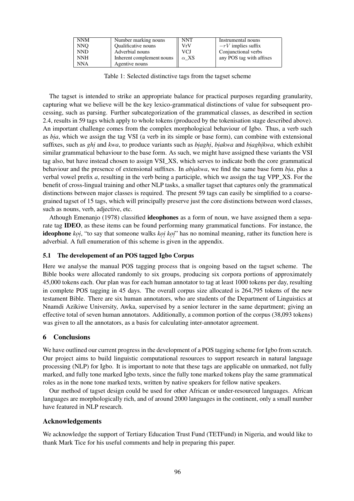| <b>NNM</b> | Number marking nouns       | <b>NNT</b>  | Instrumental nouns       |
|------------|----------------------------|-------------|--------------------------|
| <b>NNO</b> | <b>Qualificative nouns</b> | VrV         | $-rV$ implies suffix     |
| <b>NND</b> | Adverbial nouns            | VCJ         | Conjunctional verbs      |
| <b>NNH</b> | Inherent complement nouns  | $\alpha$ XS | any POS tag with affixes |
| <b>NNA</b> | Agentive nouns             |             |                          |

Table 1: Selected distinctive tags from the tagset scheme

The tagset is intended to strike an appropriate balance for practical purposes regarding granularity, capturing what we believe will be the key lexico-grammatical distinctions of value for subsequent processing, such as parsing. Further subcategorization of the grammatical classes, as described in section 2.4, results in 59 tags which apply to whole tokens (produced by the tokenisation stage described above). An important challenge comes from the complex morphological behaviour of Igbo. Thus, a verb such as *bia*, which we assign the tag VSI (a verb in its simple or base form), can combine with extensional suffixes, such as *ghi* and *kwa*, to produce variants such as *biaghi*, *biakwa* and *biaghikwa*, which exhibit similar grammatical behaviour to the base form. As such, we might have assigned these variants the VSI tag also, but have instead chosen to assign VSI\_XS, which serves to indicate both the core grammatical behaviour and the presence of extensional suffixes. In *abiakwa*, we find the same base form *bia*, plus a verbal vowel prefix *a*, resulting in the verb being a participle, which we assign the tag VPP\_XS. For the benefit of cross-lingual training and other NLP tasks, a smaller tagset that captures only the grammatical distinctions between major classes is required. The present 59 tags can easily be simplified to a coarsegrained tagset of 15 tags, which will principally preserve just the core distinctions between word classes, such as nouns, verb, adjective, etc.

Athough Emenanjo (1978) classified **ideophones** as a form of noun, we have assigned them a separate tag IDEO, as these items can be found performing many grammatical functions. For instance, the **ideophone** *koi*, "to say that someone walks *koi koi*" has no nominal meaning, rather its function here is adverbial. A full enumeration of this scheme is given in the appendix.

#### 5.1 The developement of an POS tagged Igbo Corpus

Here we analyse the manual POS tagging process that is ongoing based on the tagset scheme. The Bible books were allocated randomly to six groups, producing six corpora portions of approximately 45,000 tokens each. Our plan was for each human annotator to tag at least 1000 tokens per day, resulting in complete POS tagging in 45 days. The overall corpus size allocated is 264,795 tokens of the new testament Bible. There are six human annotators, who are students of the Department of Linguistics at Nnamdi Azikiwe University, Awka, supervised by a senior lecturer in the same department; giving an effective total of seven human annotators. Additionally, a common portion of the corpus (38,093 tokens) was given to all the annotators, as a basis for calculating inter-annotator agreement.

## 6 Conclusions

We have outlined our current progress in the development of a POS tagging scheme for Igbo from scratch. Our project aims to build linguistic computational resources to support research in natural language processing (NLP) for Igbo. It is important to note that these tags are applicable on unmarked, not fully marked, and fully tone marked Igbo texts, since the fully tone marked tokens play the same grammatical roles as in the none tone marked texts, written by native speakers for fellow native speakers.

Our method of tagset design could be used for other African or under-resourced languages. African languages are morphologically rich, and of around 2000 languages in the continent, only a small number have featured in NLP research.

## Acknowledgements

We acknowledge the support of Tertiary Education Trust Fund (TETFund) in Nigeria, and would like to thank Mark Tice for his useful comments and help in preparing this paper.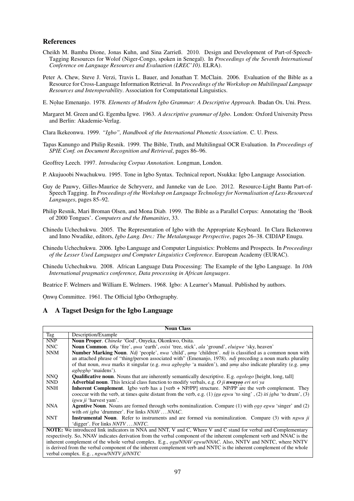#### References

- Cheikh M. Bamba Dione, Jonas Kuhn, and Sina Zarrieß. 2010. Design and Development of Part-of-Speech-Tagging Resources for Wolof (Niger-Congo, spoken in Senegal). In *Proceedings of the Seventh International Conference on Language Resources and Evaluation (LREC'10)*. ELRA).
- Peter A. Chew, Steve J. Verzi, Travis L. Bauer, and Jonathan T. McClain. 2006. Evaluation of the Bible as a Resource for Cross-Language Information Retrieval. In *Proceedings of the Workshop on Multilingual Language Resources and Interoperability*. Association for Computational Linguistics.
- E. Nolue Emenanjo. 1978. *Elements of Modern Igbo Grammar: A Descriptive Approach*. Ibadan Ox. Uni. Press.
- Margaret M. Green and G. Egemba Igwe. 1963. *A descriptive grammar of Igbo*. London: Oxford University Press and Berlin: Akademie-Verlag.
- Clara Ikekeonwu. 1999. *"Igbo", Handbook of the International Phonetic Association*. C. U. Press.
- Tapas Kanungo and Philip Resnik. 1999. The Bible, Truth, and Multilingual OCR Evaluation. In *Proceedings of SPIE Conf. on Document Recognition and Retrieval*, pages 86–96.
- Geoffrey Leech. 1997. *Introducing Corpus Annotation*. Longman, London.
- P. Akujuoobi Nwachukwu. 1995. Tone in Igbo Syntax. Technical report, Nsukka: Igbo Language Association.
- Guy de Pauwy, Gilles-Maurice de Schryverz, and Janneke van de Loo. 2012. Resource-Light Bantu Part-of-Speech Tagging. In *Proceedings of the Workshop on Language Technology for Normalisation of Less-Resourced Languages*, pages 85–92.
- Philip Resnik, Mari Broman Olsen, and Mona Diab. 1999. The Bible as a Parallel Corpus: Annotating the 'Book of 2000 Tongues'. *Computers and the Humanities*, 33.
- Chinedu Uchechukwu. 2005. The Representation of Igbo with the Appropriate Keyboard. In Clara Ikekeonwu and Inno Nwadike, editors, *Igbo Lang. Dev.: The Metalanguage Perspective*, pages 26–38. CIDJAP Enugu.
- Chinedu Uchechukwu. 2006. Igbo Language and Computer Linguistics: Problems and Prospects. In *Proceedings of the Lesser Used Languages and Computer Linguistics Conference*. European Academy (EURAC).
- Chinedu Uchechukwu. 2008. African Language Data Processing: The Example of the Igbo Language. In *10th International pragmatics conference, Data processing in African languages*.

Beatrice F. Welmers and William E. Welmers. 1968. Igbo: A Learner's Manual. Published by authors.

Onwu Committee. 1961. The Official Igbo Orthography.

## A A Tagset Design for the Igbo Language

| <b>Noun Class</b>                                                                                                     |                                                                                                                                                                                                                                      |  |  |  |  |
|-----------------------------------------------------------------------------------------------------------------------|--------------------------------------------------------------------------------------------------------------------------------------------------------------------------------------------------------------------------------------|--|--|--|--|
| Tag                                                                                                                   | Description/Example                                                                                                                                                                                                                  |  |  |  |  |
| <b>NNP</b>                                                                                                            | Noun Proper. Chineke 'God', Onyeka, Okonkwo, Osita.                                                                                                                                                                                  |  |  |  |  |
| NNC                                                                                                                   | Noun Common. Oku 'fire', uwa 'earth', osisi 'tree, stick', ala 'ground', eluigwe 'sky, heaven'                                                                                                                                       |  |  |  |  |
| <b>NNM</b>                                                                                                            | <b>Number Marking Noun.</b> Ndi 'people', nwa 'child', umu 'children'. ndi is classified as a common noun with<br>an attached phrase of "thing/person associated with" (Emenanjo, 1978). <i>ndi</i> preceding a noun marks plurality |  |  |  |  |
|                                                                                                                       | of that noun, <i>nwa</i> marks it singular (e.g. <i>nwa agbogho</i> 'a maiden'), and <i>umu</i> also indicate plurality (e.g. <i>umu</i><br><i>agbogho</i> 'maidens').                                                               |  |  |  |  |
| <b>NNO</b>                                                                                                            | <b>Qualificative noun.</b> Nouns that are inherently semantically descriptive. E.g. <i>ogologo</i> [height, long, tall]                                                                                                              |  |  |  |  |
| <b>NND</b>                                                                                                            | <b>Adverbial noun.</b> This lexical class function to modify verbals, e.g. O ji <b>nwayoo</b> eri nri ya                                                                                                                             |  |  |  |  |
| <b>NNH</b>                                                                                                            | <b>Inherent Complement.</b> Igbo verb has a [verb + NP/PP] structure. NP/PP are the verb complement. They                                                                                                                            |  |  |  |  |
|                                                                                                                       | cooccur with the verb, at times quite distant from the verb, e.g. (1) igu egwu 'to sing', (2) it ighat 'to drum', (3)                                                                                                                |  |  |  |  |
|                                                                                                                       | <i>igwu ji</i> 'harvest yam'.                                                                                                                                                                                                        |  |  |  |  |
| <b>NNA</b>                                                                                                            | <b>Agentive Noun.</b> Nouns are formed through verbs nominalization. Compare (1) with <i>ogo egwu</i> 'singer' and (2)                                                                                                               |  |  |  |  |
|                                                                                                                       | with <i>oti igba</i> 'drummer'. For links <i>NNAV NNAC</i> .                                                                                                                                                                         |  |  |  |  |
| <b>NNT</b>                                                                                                            | <b>Instrumental Noun.</b> Refer to instruments and are formed via nominalization. Compare $(3)$ with <i>ngwu ji</i>                                                                                                                  |  |  |  |  |
|                                                                                                                       | 'digger'. For links <i>NNTV NNTC</i> .                                                                                                                                                                                               |  |  |  |  |
| <b>NOTE:</b> We introduced link indicators in NNA and NNT, V and C, Where V and C stand for verbal and Complementary  |                                                                                                                                                                                                                                      |  |  |  |  |
| respectively. So, NNAV indicates derivation from the verbal component of the inherent complement verb and NNAC is the |                                                                                                                                                                                                                                      |  |  |  |  |
| inherent complement of the whole verbal complex. E.g., ogu/NNAV egwu/NNAC. Also, NNTV and NNTC, where NNTV            |                                                                                                                                                                                                                                      |  |  |  |  |
| is derived from the verbal component of the inherent complement verb and NNTC is the inherent complement of the whole |                                                                                                                                                                                                                                      |  |  |  |  |
| verbal complex. E.g., ngwu/NNTV ji/NNTC                                                                               |                                                                                                                                                                                                                                      |  |  |  |  |